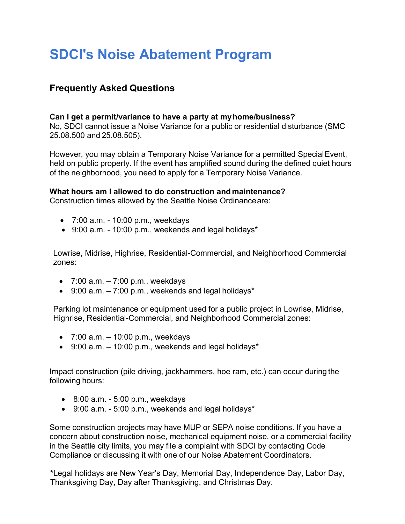# **SDCI's Noise Abatement Program**

## **Frequently Asked Questions**

### **Can I get a permit/variance to have a party at my home/business?**

No, SDCI cannot issue a Noise Variance for a public or residential disturbance (SMC 25.08.500 and 25.08.505).

However, you may obtain a Temporary Noise Variance for a permitted Special Event, held on public property. If the event has amplified sound during the defined quiet hours of the neighborhood, you need to apply for a Temporary Noise Variance.

### **What hours am I allowed to do construction and maintenance?**

Construction times allowed by the Seattle Noise Ordinance are:

- 7:00 a.m. 10:00 p.m., weekdays
- 9:00 a.m. 10:00 p.m., weekends and legal holidays\*

Lowrise, Midrise, Highrise, Residential-Commercial, and Neighborhood Commercial zones:

- $\bullet$  7:00 a.m.  $-7:00$  p.m., weekdays
- $\bullet$  9:00 a.m.  $-7:00$  p.m., weekends and legal holidays\*

Parking lot maintenance or equipment used for a public project in Lowrise, Midrise, Highrise, Residential-Commercial, and Neighborhood Commercial zones:

- $\bullet$  7:00 a.m.  $-$  10:00 p.m., weekdays
- $\bullet$  9:00 a.m.  $-$  10:00 p.m., weekends and legal holidays\*

Impact construction (pile driving, jackhammers, hoe ram, etc.) can occur during the following hours:

- $\bullet$  8:00 a.m. 5:00 p.m., weekdays
- 9:00 a.m. 5:00 p.m., weekends and legal holidays\*

Some construction projects may have MUP or SEPA noise conditions. If you have a concern about construction noise, mechanical equipment noise, or a commercial facility in the Seattle city limits, you may file a complaint with SDCI by contacting Code Compliance or discussing it with one of our Noise Abatement Coordinators.

**\***Legal holidays are New Year's Day, Memorial Day, Independence Day, Labor Day, Thanksgiving Day, Day after Thanksgiving, and Christmas Day.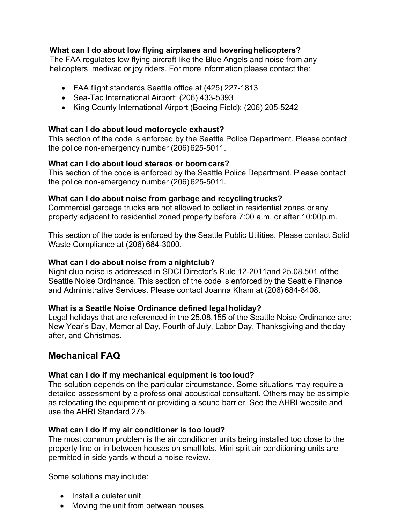### **What can I do about low flying airplanes and hovering helicopters?**

The FAA regulates low flying aircraft like the Blue Angels and noise from any helicopters, medivac or joy riders. For more information please contact the:

- FAA flight standards Seattle office at (425) 227-1813
- Sea-Tac International Airport: (206) 433-5393
- King County International Airport (Boeing Field): (206) 205-5242

### **What can I do about loud motorcycle exhaust?**

This section of the code is enforced by the Seattle Police Department. Please contact the police non-emergency number (206) 625-5011.

### **What can I do about loud stereos or boom cars?**

This section of the code is enforced by the Seattle Police Department. Please contact the police non-emergency number (206) 625-5011.

### **What can I do about noise from garbage and recycling trucks?**

Commercial garbage trucks are not allowed to collect in residential zones or any property adjacent to residential zoned property before 7:00 a.m. or after 10:00 p.m.

This section of the code is enforced by the Seattle Public Utilities. Please contact Solid Waste Compliance at (206) 684-3000.

### **What can I do about noise from a nightclub?**

Night club noise is addressed in SDCI Director's Rule 12-2011and 25.08.501 of the Seattle Noise Ordinance. This section of the code is enforced by the Seattle Finance and Administrative Services. Please contact Joanna Kham at (206) 684-8408.

### **What is a Seattle Noise Ordinance defined legal holiday?**

Legal holidays that are referenced in the 25.08.155 of the Seattle Noise Ordinance are: New Year's Day, Memorial Day, Fourth of July, Labor Day, Thanksgiving and the day after, and Christmas.

### **Mechanical FAQ**

### **What can I do if my mechanical equipment is too loud?**

The solution depends on the particular circumstance. Some situations may require a detailed assessment by a professional acoustical consultant. Others may be as simple as relocating the equipment or providing a sound barrier. See the AHRI website and use the AHRI Standard 275.

### **What can I do if my air conditioner is too loud?**

The most common problem is the air conditioner units being installed too close to the property line or in between houses on small lots. Mini split air conditioning units are permitted in side yards without a noise review.

Some solutions may include:

- Install a quieter unit
- Moving the unit from between houses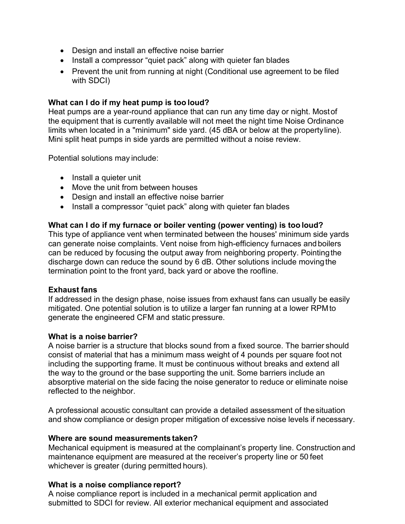- Design and install an effective noise barrier
- Install a compressor "quiet pack" along with quieter fan blades
- Prevent the unit from running at night (Conditional use agreement to be filed with SDCI)

### **What can I do if my heat pump is too loud?**

Heat pumps are a year-round appliance that can run any time day or night. Most of the equipment that is currently available will not meet the night time Noise Ordinance limits when located in a "minimum" side yard. (45 dBA or below at the property line). Mini split heat pumps in side yards are permitted without a noise review.

Potential solutions may include:

- Install a quieter unit
- Move the unit from between houses
- Design and install an effective noise barrier
- Install a compressor "quiet pack" along with quieter fan blades

### **What can I do if my furnace or boiler venting (power venting) is too loud?**

This type of appliance vent when terminated between the houses' minimum side yards can generate noise complaints. Vent noise from high-efficiency furnaces and boilers can be reduced by focusing the output away from neighboring property. Pointing the discharge down can reduce the sound by 6 dB. Other solutions include moving the termination point to the front yard, back yard or above the roofline.

### **Exhaust fans**

If addressed in the design phase, noise issues from exhaust fans can usually be easily mitigated. One potential solution is to utilize a larger fan running at a lower RPM to generate the engineered CFM and static pressure.

### **What is a noise barrier?**

A noise barrier is a structure that blocks sound from a fixed source. The barrier should consist of material that has a minimum mass weight of 4 pounds per square foot not including the supporting frame. It must be continuous without breaks and extend all the way to the ground or the base supporting the unit. Some barriers include an absorptive material on the side facing the noise generator to reduce or eliminate noise reflected to the neighbor.

A professional acoustic consultant can provide a detailed assessment of the situation and show compliance or design proper mitigation of excessive noise levels if necessary.

### **Where are sound measurements taken?**

Mechanical equipment is measured at the complainant's property line. Construction and maintenance equipment are measured at the receiver's property line or 50 feet whichever is greater (during permitted hours).

### **What is a noise compliance report?**

A noise compliance report is included in a mechanical permit application and submitted to SDCI for review. All exterior mechanical equipment and associated